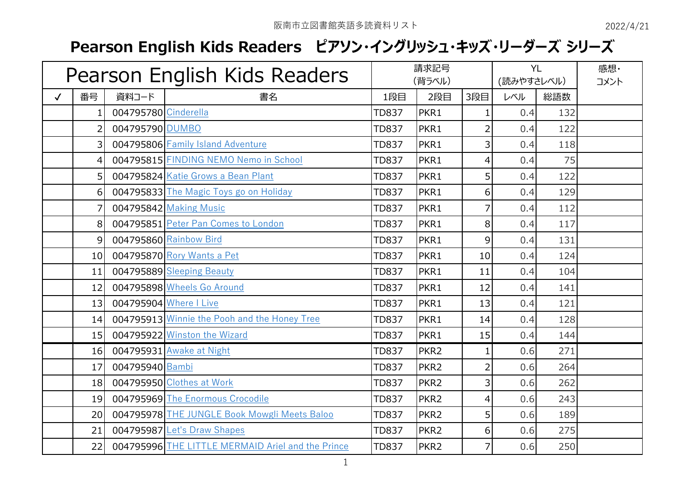## **Pearson English Kids Readers ピアソン・イングリッシュ・キッズ・リーダーズ シリーズ**

| Pearson English Kids Readers |                 |                      |                                                   | 請求記号<br>(背ラベル) |                  | <b>YL</b><br>(読みやすさレベル) |     | 感想·<br>コメント |  |
|------------------------------|-----------------|----------------------|---------------------------------------------------|----------------|------------------|-------------------------|-----|-------------|--|
| $\checkmark$                 | 番号              | 資料コード                | 書名                                                | 1段目            | 2段目              | 3段目                     | レベル | 総語数         |  |
|                              |                 | 004795780 Cinderella |                                                   | <b>TD837</b>   | PKR1             | 1                       | 0.4 | 132         |  |
|                              | 2               | 004795790 DUMBO      |                                                   | <b>TD837</b>   | PKR1             | 2                       | 0.4 | 122         |  |
|                              | 3               |                      | 004795806 Family Island Adventure                 | TD837          | PKR1             | 3                       | 0.4 | 118         |  |
|                              | 4               |                      | 004795815 FINDING NEMO Nemo in School             | <b>TD837</b>   | PKR1             | 4                       | 0.4 | 75          |  |
|                              | 5 <sup>1</sup>  |                      | 004795824 Katie Grows a Bean Plant                | <b>TD837</b>   | PKR1             | 5                       | 0.4 | 122         |  |
|                              | 6               |                      | 004795833 The Magic Toys go on Holiday            | <b>TD837</b>   | PKR1             | 6                       | 0.4 | 129         |  |
|                              |                 |                      | 004795842 Making Music                            | <b>TD837</b>   | PKR1             | 7                       | 0.4 | 112         |  |
|                              | 8               |                      | 004795851 Peter Pan Comes to London               | <b>TD837</b>   | PKR1             | 8                       | 0.4 | 117         |  |
|                              | 9               |                      | 004795860 Rainbow Bird                            | <b>TD837</b>   | PKR1             | 9                       | 0.4 | 131         |  |
|                              | 10 <sup>1</sup> |                      | 004795870 Rory Wants a Pet                        | <b>TD837</b>   | PKR1             | 10                      | 0.4 | 124         |  |
|                              | 11              |                      | 004795889 Sleeping Beauty                         | <b>TD837</b>   | PKR1             | 11                      | 0.4 | 104         |  |
|                              | 12              |                      | 004795898 Wheels Go Around                        | <b>TD837</b>   | PKR1             | 12                      | 0.4 | 141         |  |
|                              | 13              |                      | 004795904 Where I Live                            | <b>TD837</b>   | PKR1             | 13                      | 0.4 | 121         |  |
|                              | 14              |                      | 004795913 Winnie the Pooh and the Honey Tree      | <b>TD837</b>   | PKR1             | 14                      | 0.4 | 128         |  |
|                              | 15              |                      | 004795922 Winston the Wizard                      | <b>TD837</b>   | PKR1             | 15                      | 0.4 | 144         |  |
|                              | 16              |                      | 004795931 Awake at Night                          | <b>TD837</b>   | PKR <sub>2</sub> | 1                       | 0.6 | 271         |  |
|                              | 17              | 004795940 Bambi      |                                                   | <b>TD837</b>   | PKR <sub>2</sub> | $\overline{2}$          | 0.6 | 264         |  |
|                              | 18              |                      | 004795950 Clothes at Work                         | <b>TD837</b>   | PKR <sub>2</sub> | 3                       | 0.6 | 262         |  |
|                              | 19              |                      | 004795969 The Enormous Crocodile                  | <b>TD837</b>   | PKR <sub>2</sub> | 4                       | 0.6 | 243         |  |
|                              | 20              |                      | 004795978 THE JUNGLE Book Mowgli Meets Baloo      | <b>TD837</b>   | PKR <sub>2</sub> | 5                       | 0.6 | 189         |  |
|                              | 21              |                      | 004795987 Let's Draw Shapes                       | <b>TD837</b>   | PKR <sub>2</sub> | 6                       | 0.6 | 275         |  |
|                              | 22              |                      | 004795996 THE LITTLE MERMAID Ariel and the Prince | <b>TD837</b>   | PKR <sub>2</sub> | 7                       | 0.6 | 250         |  |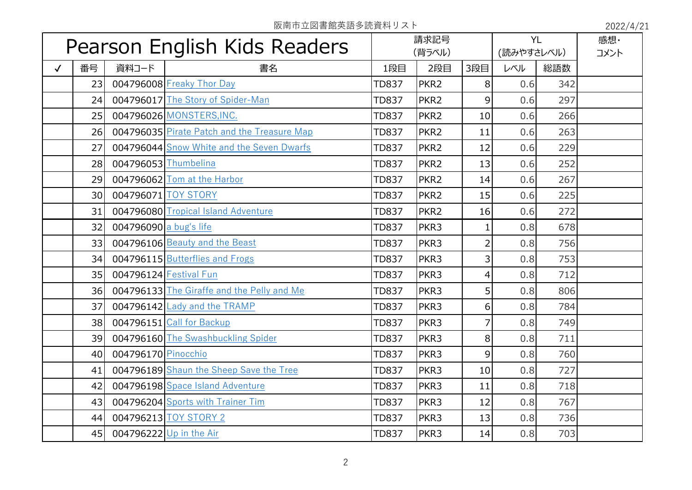阪南市立図書館英語多読資料リスト 2022/4/21

| Pearson English Kids Readers |    |                          | 請求記号                                        |              | <b>YL</b>        |                | 感想·  |     |  |
|------------------------------|----|--------------------------|---------------------------------------------|--------------|------------------|----------------|------|-----|--|
|                              |    |                          | (背ラベル)                                      |              | (読みやすさレベル)       |                | コメント |     |  |
| $\checkmark$                 | 番号 | 資料コード                    | 書名                                          | 1段目          | 2段目              | 3段目            | レベル  | 総語数 |  |
|                              | 23 |                          | 004796008 Freaky Thor Day                   | <b>TD837</b> | PKR <sub>2</sub> | 8 <sup>1</sup> | 0.6  | 342 |  |
|                              | 24 |                          | 004796017 The Story of Spider-Man           | <b>TD837</b> | PKR <sub>2</sub> | $\overline{9}$ | 0.6  | 297 |  |
|                              | 25 |                          | 004796026 MONSTERS, INC.                    | <b>TD837</b> | PKR <sub>2</sub> | 10             | 0.6  | 266 |  |
|                              | 26 |                          | 004796035 Pirate Patch and the Treasure Map | <b>TD837</b> | PKR <sub>2</sub> | 11             | 0.6  | 263 |  |
|                              | 27 |                          | 004796044 Snow White and the Seven Dwarfs   | <b>TD837</b> | PKR <sub>2</sub> | 12             | 0.6  | 229 |  |
|                              | 28 | 004796053 Thumbelina     |                                             | <b>TD837</b> | PKR <sub>2</sub> | 13             | 0.6  | 252 |  |
|                              | 29 |                          | 004796062 Tom at the Harbor                 | <b>TD837</b> | PKR <sub>2</sub> | 14             | 0.6  | 267 |  |
|                              | 30 |                          | 004796071 TOY STORY                         | <b>TD837</b> | PKR <sub>2</sub> | 15             | 0.6  | 225 |  |
|                              | 31 |                          | 004796080 Tropical Island Adventure         | <b>TD837</b> | PKR <sub>2</sub> | 16             | 0.6  | 272 |  |
|                              | 32 | 004796090 $a$ bug's life |                                             | <b>TD837</b> | PKR3             | $\mathbf{1}$   | 0.8  | 678 |  |
|                              | 33 |                          | 004796106 Beauty and the Beast              | <b>TD837</b> | PKR3             | $\overline{2}$ | 0.8  | 756 |  |
|                              | 34 |                          | 004796115 Butterflies and Frogs             | <b>TD837</b> | PKR3             | $\overline{3}$ | 0.8  | 753 |  |
|                              | 35 |                          | 004796124 Festival Fun                      | <b>TD837</b> | PKR3             | $\overline{4}$ | 0.8  | 712 |  |
|                              | 36 |                          | 004796133 The Giraffe and the Pelly and Me  | <b>TD837</b> | PKR3             | 5 <sup>1</sup> | 0.8  | 806 |  |
|                              | 37 |                          | 004796142 Lady and the TRAMP                | <b>TD837</b> | PKR3             | $6 \mid$       | 0.8  | 784 |  |
|                              | 38 |                          | 004796151 Call for Backup                   | <b>TD837</b> | PKR3             | $\overline{7}$ | 0.8  | 749 |  |
|                              | 39 |                          | 004796160 The Swashbuckling Spider          | <b>TD837</b> | PKR3             | 8 <sup>1</sup> | 0.8  | 711 |  |
|                              | 40 | 004796170 Pinocchio      |                                             | <b>TD837</b> | PKR3             | $\overline{9}$ | 0.8  | 760 |  |
|                              | 41 |                          | 004796189 Shaun the Sheep Save the Tree     | <b>TD837</b> | PKR3             | 10             | 0.8  | 727 |  |
|                              | 42 |                          | 004796198 Space Island Adventure            | <b>TD837</b> | PKR3             | 11             | 0.8  | 718 |  |
|                              | 43 |                          | 004796204 Sports with Trainer Tim           | <b>TD837</b> | PKR3             | 12             | 0.8  | 767 |  |
|                              | 44 |                          | 004796213 TOY STORY 2                       | <b>TD837</b> | PKR3             | 13             | 0.8  | 736 |  |
|                              | 45 |                          | 004796222 Up in the Air                     | <b>TD837</b> | PKR3             | 14             | 0.8  | 703 |  |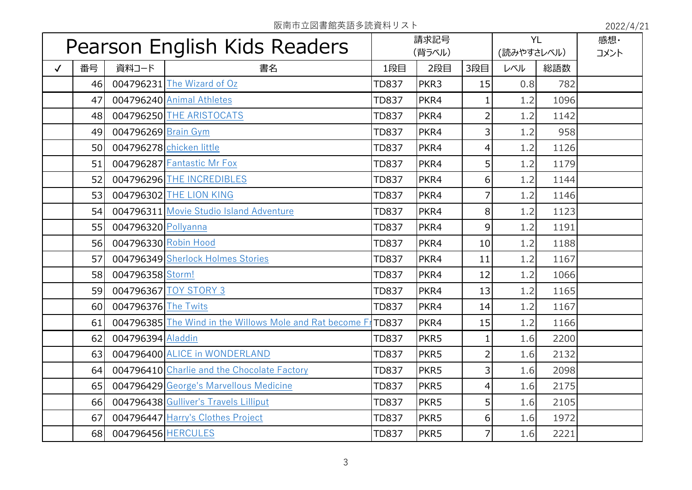阪南市立図書館英語多読資料リスト 2022/4/21

| Pearson English Kids Readers |    |                      | 請求記号<br>(背ラベル)                                          |              | <b>YL</b><br>(読みやすさレベル) |                | 感想·<br>コメント |      |  |
|------------------------------|----|----------------------|---------------------------------------------------------|--------------|-------------------------|----------------|-------------|------|--|
| $\checkmark$                 | 番号 | 資料コード                | 書名                                                      | 1段目          | 2段目                     | 3段目            | レベル         | 総語数  |  |
|                              | 46 |                      | 004796231 The Wizard of Oz                              | <b>TD837</b> | PKR3                    | 15             | 0.8         | 782  |  |
|                              | 47 |                      | 004796240 Animal Athletes                               | <b>TD837</b> | PKR4                    | 1              | 1.2         | 1096 |  |
|                              | 48 |                      | 004796250 THE ARISTOCATS                                | <b>TD837</b> | PKR4                    | $\overline{2}$ | 1.2         | 1142 |  |
|                              | 49 | 004796269 Brain Gym  |                                                         | <b>TD837</b> | PKR4                    | $\overline{3}$ | 1.2         | 958  |  |
|                              | 50 |                      | 004796278 chicken little                                | <b>TD837</b> | PKR4                    | $\overline{4}$ | 1.2         | 1126 |  |
|                              | 51 |                      | 004796287 Fantastic Mr Fox                              | <b>TD837</b> | PKR4                    | 5 <sup>1</sup> | 1.2         | 1179 |  |
|                              | 52 |                      | 004796296 THE INCREDIBLES                               | <b>TD837</b> | PKR4                    | 6 <sup>1</sup> | 1.2         | 1144 |  |
|                              | 53 |                      | 004796302 THE LION KING                                 | <b>TD837</b> | PKR4                    | $\overline{7}$ | 1.2         | 1146 |  |
|                              | 54 |                      | 004796311 Movie Studio Island Adventure                 | <b>TD837</b> | PKR4                    | 8              | 1.2         | 1123 |  |
|                              | 55 | 004796320 Pollyanna  |                                                         | <b>TD837</b> | PKR4                    | $\overline{9}$ | 1.2         | 1191 |  |
|                              | 56 | 004796330 Robin Hood |                                                         | <b>TD837</b> | PKR4                    | 10             | 1.2         | 1188 |  |
|                              | 57 |                      | 004796349 Sherlock Holmes Stories                       | <b>TD837</b> | PKR4                    | 11             | 1.2         | 1167 |  |
|                              | 58 | 004796358 Storm!     |                                                         | <b>TD837</b> | PKR4                    | 12             | 1.2         | 1066 |  |
|                              | 59 |                      | 004796367 TOY STORY 3                                   | <b>TD837</b> | PKR4                    | 13             | 1.2         | 1165 |  |
|                              | 60 | 004796376 The Twits  |                                                         | <b>TD837</b> | PKR4                    | 14             | 1.2         | 1167 |  |
|                              | 61 |                      | 004796385 The Wind in the Willows Mole and Rat become F | <b>TD837</b> | PKR4                    | 15             | 1.2         | 1166 |  |
|                              | 62 | 004796394 Aladdin    |                                                         | <b>TD837</b> | PKR5                    | $\mathbf{1}$   | 1.6         | 2200 |  |
|                              | 63 |                      | 004796400 ALICE in WONDERLAND                           | <b>TD837</b> | PKR5                    | $\overline{2}$ | 1.6         | 2132 |  |
|                              | 64 |                      | 004796410 Charlie and the Chocolate Factory             | <b>TD837</b> | PKR5                    | $\overline{3}$ | 1.6         | 2098 |  |
|                              | 65 |                      | 004796429 George's Marvellous Medicine                  | <b>TD837</b> | PKR5                    | $\overline{4}$ | 1.6         | 2175 |  |
|                              | 66 |                      | 004796438 Gulliver's Travels Lilliput                   | <b>TD837</b> | PKR5                    | 5 <sup>1</sup> | 1.6         | 2105 |  |
|                              | 67 |                      | 004796447 Harry's Clothes Project                       | <b>TD837</b> | PKR5                    | $6 \mid$       | 1.6         | 1972 |  |
|                              | 68 | 004796456 HERCULES   |                                                         | <b>TD837</b> | PKR5                    | 7              | 1.6         | 2221 |  |